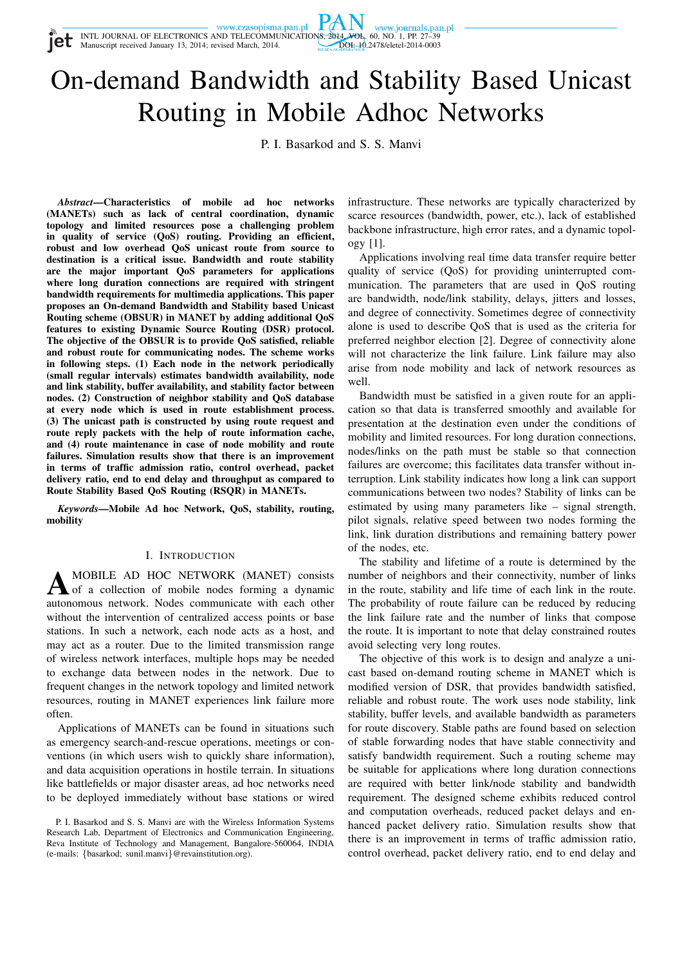INTL JOURNAL OF ELECTRONICS AND TELECOMMUNICATIONS, 2014, VOL. 60, NO. 1, PP. 27–39<br>Manuscript received January 13, 2014; revised March, 2014.



PAN

P. I. Basarkod and S. S. Manvi

*Abstract***—Characteristics of mobile ad hoc networks (MANETs) such as lack of central coordination, dynamic topology and limited resources pose a challenging problem in quality of service (QoS) routing. Providing an efficient, robust and low overhead QoS unicast route from source to destination is a critical issue. Bandwidth and route stability are the major important QoS parameters for applications where long duration connections are required with stringent bandwidth requirements for multimedia applications. This paper proposes an On-demand Bandwidth and Stability based Unicast Routing scheme (OBSUR) in MANET by adding additional QoS features to existing Dynamic Source Routing (DSR) protocol. The objective of the OBSUR is to provide QoS satisfied, reliable and robust route for communicating nodes. The scheme works in following steps. (1) Each node in the network periodically (small regular intervals) estimates bandwidth availability, node and link stability, buffer availability, and stability factor between nodes. (2) Construction of neighbor stability and QoS database at every node which is used in route establishment process. (3) The unicast path is constructed by using route request and route reply packets with the help of route information cache, and (4) route maintenance in case of node mobility and route failures. Simulation results show that there is an improvement in terms of traffic admission ratio, control overhead, packet delivery ratio, end to end delay and throughput as compared to Route Stability Based QoS Routing (RSQR) in MANETs.**

*Keywords***—Mobile Ad hoc Network, QoS, stability, routing, mobility**

### I. INTRODUCTION

**A** MOBILE AD HOC NETWORK (MANET) consists of a collection of mobile nodes forming a dynamic autonomous network. Nodes communicate with each other MOBILE AD HOC NETWORK (MANET) consists of a collection of mobile nodes forming a dynamic without the intervention of centralized access points or base stations. In such a network, each node acts as a host, and may act as a router. Due to the limited transmission range of wireless network interfaces, multiple hops may be needed to exchange data between nodes in the network. Due to frequent changes in the network topology and limited network resources, routing in MANET experiences link failure more often.

Applications of MANETs can be found in situations such as emergency search-and-rescue operations, meetings or conventions (in which users wish to quickly share information), and data acquisition operations in hostile terrain. In situations like battlefields or major disaster areas, ad hoc networks need to be deployed immediately without base stations or wired

infrastructure. These networks are typically characterized by scarce resources (bandwidth, power, etc.), lack of established backbone infrastructure, high error rates, and a dynamic topology [1].

Applications involving real time data transfer require better quality of service (QoS) for providing uninterrupted communication. The parameters that are used in QoS routing are bandwidth, node/link stability, delays, jitters and losses, and degree of connectivity. Sometimes degree of connectivity alone is used to describe QoS that is used as the criteria for preferred neighbor election [2]. Degree of connectivity alone will not characterize the link failure. Link failure may also arise from node mobility and lack of network resources as well.

Bandwidth must be satisfied in a given route for an application so that data is transferred smoothly and available for presentation at the destination even under the conditions of mobility and limited resources. For long duration connections, nodes/links on the path must be stable so that connection failures are overcome; this facilitates data transfer without interruption. Link stability indicates how long a link can support communications between two nodes? Stability of links can be estimated by using many parameters like – signal strength, pilot signals, relative speed between two nodes forming the link, link duration distributions and remaining battery power of the nodes, etc.

The stability and lifetime of a route is determined by the number of neighbors and their connectivity, number of links in the route, stability and life time of each link in the route. The probability of route failure can be reduced by reducing the link failure rate and the number of links that compose the route. It is important to note that delay constrained routes avoid selecting very long routes.

The objective of this work is to design and analyze a unicast based on-demand routing scheme in MANET which is modified version of DSR, that provides bandwidth satisfied, reliable and robust route. The work uses node stability, link stability, buffer levels, and available bandwidth as parameters for route discovery. Stable paths are found based on selection of stable forwarding nodes that have stable connectivity and satisfy bandwidth requirement. Such a routing scheme may be suitable for applications where long duration connections are required with better link/node stability and bandwidth requirement. The designed scheme exhibits reduced control and computation overheads, reduced packet delays and enhanced packet delivery ratio. Simulation results show that there is an improvement in terms of traffic admission ratio, control overhead, packet delivery ratio, end to end delay and

P. I. Basarkod and S. S. Manvi are with the Wireless Information Systems Research Lab, Department of Electronics and Communication Engineering, Reva Institute of Technology and Management, Bangalore-560064, INDIA (e-mails: {basarkod; sunil.manvi}@revainstitution.org).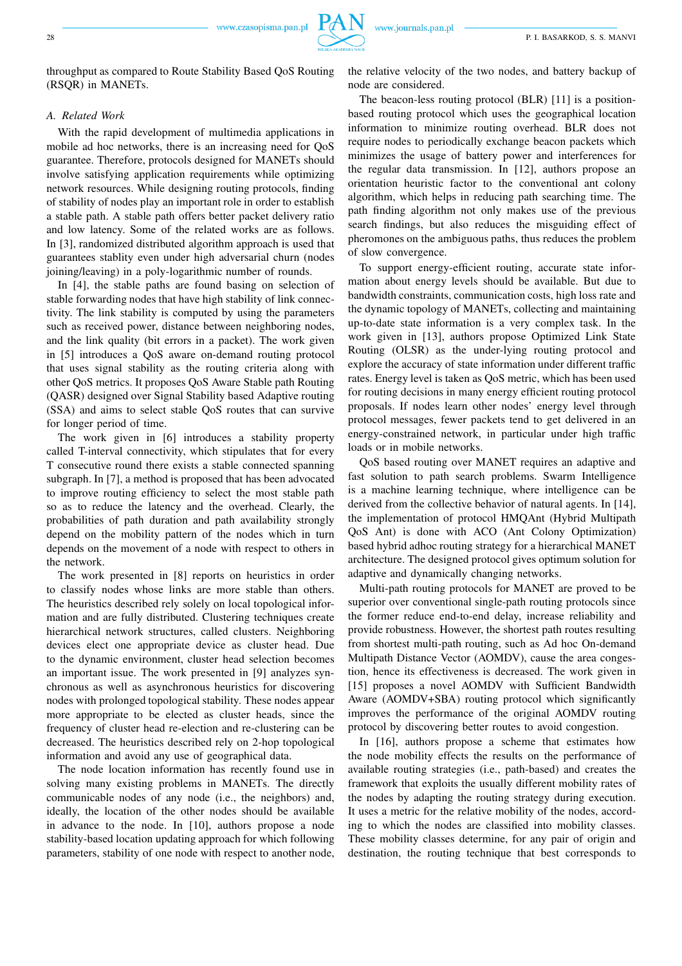www.czasopisma.pan.pl



throughput as compared to Route Stability Based QoS Routing (RSQR) in MANETs.

### *A. Related Work*

With the rapid development of multimedia applications in mobile ad hoc networks, there is an increasing need for QoS guarantee. Therefore, protocols designed for MANETs should involve satisfying application requirements while optimizing network resources. While designing routing protocols, finding of stability of nodes play an important role in order to establish a stable path. A stable path offers better packet delivery ratio and low latency. Some of the related works are as follows. In [3], randomized distributed algorithm approach is used that guarantees stablity even under high adversarial churn (nodes joining/leaving) in a poly-logarithmic number of rounds.

In [4], the stable paths are found basing on selection of stable forwarding nodes that have high stability of link connectivity. The link stability is computed by using the parameters such as received power, distance between neighboring nodes, and the link quality (bit errors in a packet). The work given in [5] introduces a QoS aware on-demand routing protocol that uses signal stability as the routing criteria along with other QoS metrics. It proposes QoS Aware Stable path Routing (QASR) designed over Signal Stability based Adaptive routing (SSA) and aims to select stable QoS routes that can survive for longer period of time.

The work given in [6] introduces a stability property called T-interval connectivity, which stipulates that for every T consecutive round there exists a stable connected spanning subgraph. In [7], a method is proposed that has been advocated to improve routing efficiency to select the most stable path so as to reduce the latency and the overhead. Clearly, the probabilities of path duration and path availability strongly depend on the mobility pattern of the nodes which in turn depends on the movement of a node with respect to others in the network.

The work presented in [8] reports on heuristics in order to classify nodes whose links are more stable than others. The heuristics described rely solely on local topological information and are fully distributed. Clustering techniques create hierarchical network structures, called clusters. Neighboring devices elect one appropriate device as cluster head. Due to the dynamic environment, cluster head selection becomes an important issue. The work presented in [9] analyzes synchronous as well as asynchronous heuristics for discovering nodes with prolonged topological stability. These nodes appear more appropriate to be elected as cluster heads, since the frequency of cluster head re-election and re-clustering can be decreased. The heuristics described rely on 2-hop topological information and avoid any use of geographical data.

The node location information has recently found use in solving many existing problems in MANETs. The directly communicable nodes of any node (i.e., the neighbors) and, ideally, the location of the other nodes should be available in advance to the node. In [10], authors propose a node stability-based location updating approach for which following parameters, stability of one node with respect to another node, the relative velocity of the two nodes, and battery backup of node are considered.

The beacon-less routing protocol (BLR) [11] is a positionbased routing protocol which uses the geographical location information to minimize routing overhead. BLR does not require nodes to periodically exchange beacon packets which minimizes the usage of battery power and interferences for the regular data transmission. In [12], authors propose an orientation heuristic factor to the conventional ant colony algorithm, which helps in reducing path searching time. The path finding algorithm not only makes use of the previous search findings, but also reduces the misguiding effect of pheromones on the ambiguous paths, thus reduces the problem of slow convergence.

To support energy-efficient routing, accurate state information about energy levels should be available. But due to bandwidth constraints, communication costs, high loss rate and the dynamic topology of MANETs, collecting and maintaining up-to-date state information is a very complex task. In the work given in [13], authors propose Optimized Link State Routing (OLSR) as the under-lying routing protocol and explore the accuracy of state information under different traffic rates. Energy level is taken as QoS metric, which has been used for routing decisions in many energy efficient routing protocol proposals. If nodes learn other nodes' energy level through protocol messages, fewer packets tend to get delivered in an energy-constrained network, in particular under high traffic loads or in mobile networks.

QoS based routing over MANET requires an adaptive and fast solution to path search problems. Swarm Intelligence is a machine learning technique, where intelligence can be derived from the collective behavior of natural agents. In [14], the implementation of protocol HMQAnt (Hybrid Multipath QoS Ant) is done with ACO (Ant Colony Optimization) based hybrid adhoc routing strategy for a hierarchical MANET architecture. The designed protocol gives optimum solution for adaptive and dynamically changing networks.

Multi-path routing protocols for MANET are proved to be superior over conventional single-path routing protocols since the former reduce end-to-end delay, increase reliability and provide robustness. However, the shortest path routes resulting from shortest multi-path routing, such as Ad hoc On-demand Multipath Distance Vector (AOMDV), cause the area congestion, hence its effectiveness is decreased. The work given in [15] proposes a novel AOMDV with Sufficient Bandwidth Aware (AOMDV+SBA) routing protocol which significantly improves the performance of the original AOMDV routing protocol by discovering better routes to avoid congestion.

In [16], authors propose a scheme that estimates how the node mobility effects the results on the performance of available routing strategies (i.e., path-based) and creates the framework that exploits the usually different mobility rates of the nodes by adapting the routing strategy during execution. It uses a metric for the relative mobility of the nodes, according to which the nodes are classified into mobility classes. These mobility classes determine, for any pair of origin and destination, the routing technique that best corresponds to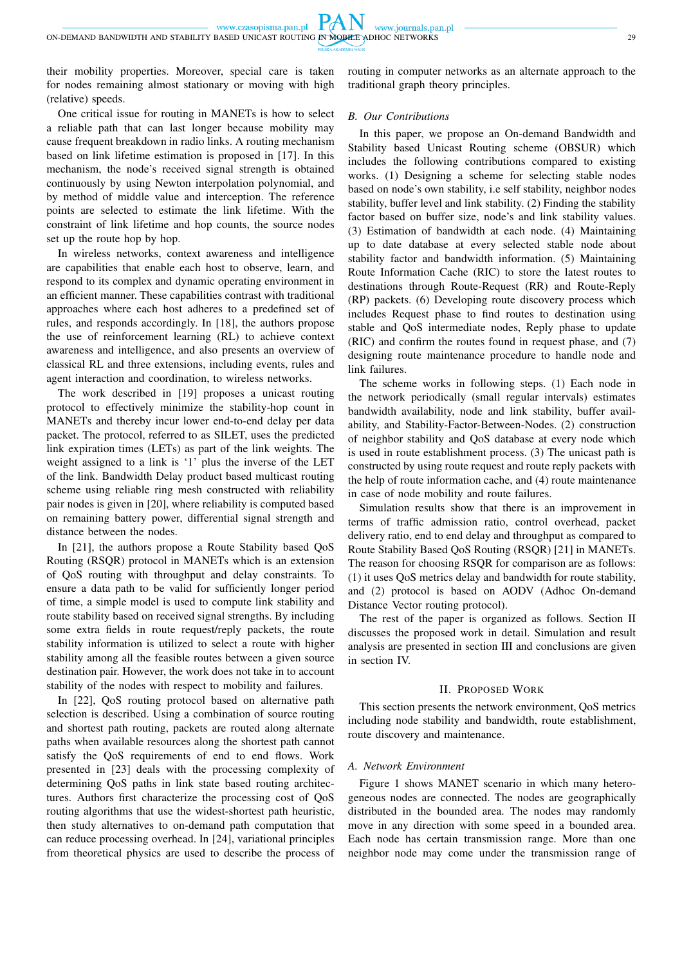their mobility properties. Moreover, special care is taken for nodes remaining almost stationary or moving with high (relative) speeds.

One critical issue for routing in MANETs is how to select a reliable path that can last longer because mobility may cause frequent breakdown in radio links. A routing mechanism based on link lifetime estimation is proposed in [17]. In this mechanism, the node's received signal strength is obtained continuously by using Newton interpolation polynomial, and by method of middle value and interception. The reference points are selected to estimate the link lifetime. With the constraint of link lifetime and hop counts, the source nodes set up the route hop by hop.

In wireless networks, context awareness and intelligence are capabilities that enable each host to observe, learn, and respond to its complex and dynamic operating environment in an efficient manner. These capabilities contrast with traditional approaches where each host adheres to a predefined set of rules, and responds accordingly. In [18], the authors propose the use of reinforcement learning (RL) to achieve context awareness and intelligence, and also presents an overview of classical RL and three extensions, including events, rules and agent interaction and coordination, to wireless networks.

The work described in [19] proposes a unicast routing protocol to effectively minimize the stability-hop count in MANETs and thereby incur lower end-to-end delay per data packet. The protocol, referred to as SILET, uses the predicted link expiration times (LETs) as part of the link weights. The weight assigned to a link is '1' plus the inverse of the LET of the link. Bandwidth Delay product based multicast routing scheme using reliable ring mesh constructed with reliability pair nodes is given in [20], where reliability is computed based on remaining battery power, differential signal strength and distance between the nodes.

In [21], the authors propose a Route Stability based QoS Routing (RSQR) protocol in MANETs which is an extension of QoS routing with throughput and delay constraints. To ensure a data path to be valid for sufficiently longer period of time, a simple model is used to compute link stability and route stability based on received signal strengths. By including some extra fields in route request/reply packets, the route stability information is utilized to select a route with higher stability among all the feasible routes between a given source destination pair. However, the work does not take in to account stability of the nodes with respect to mobility and failures.

In [22], QoS routing protocol based on alternative path selection is described. Using a combination of source routing and shortest path routing, packets are routed along alternate paths when available resources along the shortest path cannot satisfy the QoS requirements of end to end flows. Work presented in [23] deals with the processing complexity of determining QoS paths in link state based routing architectures. Authors first characterize the processing cost of QoS routing algorithms that use the widest-shortest path heuristic, then study alternatives to on-demand path computation that can reduce processing overhead. In [24], variational principles from theoretical physics are used to describe the process of routing in computer networks as an alternate approach to the traditional graph theory principles.

#### *B. Our Contributions*

www.journals.pan.pl

In this paper, we propose an On-demand Bandwidth and Stability based Unicast Routing scheme (OBSUR) which includes the following contributions compared to existing works. (1) Designing a scheme for selecting stable nodes based on node's own stability, i.e self stability, neighbor nodes stability, buffer level and link stability. (2) Finding the stability factor based on buffer size, node's and link stability values. (3) Estimation of bandwidth at each node. (4) Maintaining up to date database at every selected stable node about stability factor and bandwidth information. (5) Maintaining Route Information Cache (RIC) to store the latest routes to destinations through Route-Request (RR) and Route-Reply (RP) packets. (6) Developing route discovery process which includes Request phase to find routes to destination using stable and QoS intermediate nodes, Reply phase to update (RIC) and confirm the routes found in request phase, and (7) designing route maintenance procedure to handle node and link failures.

The scheme works in following steps. (1) Each node in the network periodically (small regular intervals) estimates bandwidth availability, node and link stability, buffer availability, and Stability-Factor-Between-Nodes. (2) construction of neighbor stability and QoS database at every node which is used in route establishment process. (3) The unicast path is constructed by using route request and route reply packets with the help of route information cache, and (4) route maintenance in case of node mobility and route failures.

Simulation results show that there is an improvement in terms of traffic admission ratio, control overhead, packet delivery ratio, end to end delay and throughput as compared to Route Stability Based QoS Routing (RSQR) [21] in MANETs. The reason for choosing RSQR for comparison are as follows: (1) it uses QoS metrics delay and bandwidth for route stability, and (2) protocol is based on AODV (Adhoc On-demand Distance Vector routing protocol).

The rest of the paper is organized as follows. Section II discusses the proposed work in detail. Simulation and result analysis are presented in section III and conclusions are given in section IV.

#### II. PROPOSED WORK

This section presents the network environment, QoS metrics including node stability and bandwidth, route establishment, route discovery and maintenance.

## *A. Network Environment*

Figure 1 shows MANET scenario in which many heterogeneous nodes are connected. The nodes are geographically distributed in the bounded area. The nodes may randomly move in any direction with some speed in a bounded area. Each node has certain transmission range. More than one neighbor node may come under the transmission range of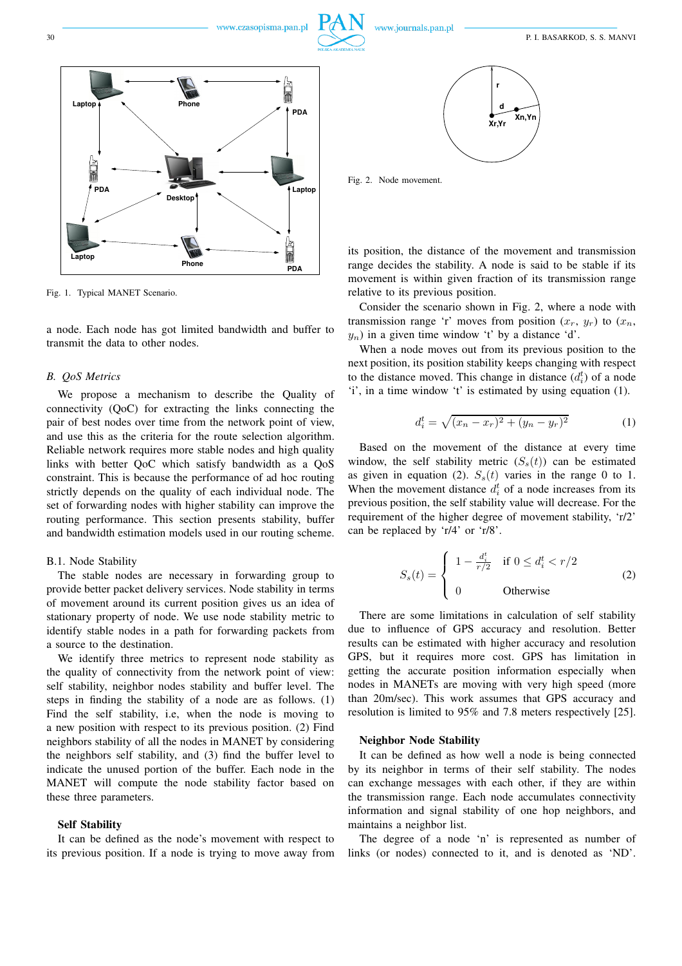





Fig. 1. Typical MANET Scenario.

a node. Each node has got limited bandwidth and buffer to transmit the data to other nodes.

### *B. QoS Metrics*

We propose a mechanism to describe the Quality of connectivity (QoC) for extracting the links connecting the pair of best nodes over time from the network point of view, and use this as the criteria for the route selection algorithm. Reliable network requires more stable nodes and high quality links with better QoC which satisfy bandwidth as a QoS constraint. This is because the performance of ad hoc routing strictly depends on the quality of each individual node. The set of forwarding nodes with higher stability can improve the routing performance. This section presents stability, buffer and bandwidth estimation models used in our routing scheme.

# B.1. Node Stability

The stable nodes are necessary in forwarding group to provide better packet delivery services. Node stability in terms of movement around its current position gives us an idea of stationary property of node. We use node stability metric to identify stable nodes in a path for forwarding packets from a source to the destination.

We identify three metrics to represent node stability as the quality of connectivity from the network point of view: self stability, neighbor nodes stability and buffer level. The steps in finding the stability of a node are as follows. (1) Find the self stability, i.e, when the node is moving to a new position with respect to its previous position. (2) Find neighbors stability of all the nodes in MANET by considering the neighbors self stability, and (3) find the buffer level to indicate the unused portion of the buffer. Each node in the MANET will compute the node stability factor based on these three parameters.

# **Self Stability**

It can be defined as the node's movement with respect to its previous position. If a node is trying to move away from



Fig. 2. Node movement.

its position, the distance of the movement and transmission range decides the stability. A node is said to be stable if its movement is within given fraction of its transmission range relative to its previous position.

Consider the scenario shown in Fig. 2, where a node with transmission range 'r' moves from position  $(x_r, y_r)$  to  $(x_n, y_r)$  $y_n$ ) in a given time window 't' by a distance 'd'.

When a node moves out from its previous position to the next position, its position stability keeps changing with respect to the distance moved. This change in distance  $(d_i^t)$  of a node 'i', in a time window 't' is estimated by using equation (1).

$$
d_i^t = \sqrt{(x_n - x_r)^2 + (y_n - y_r)^2}
$$
 (1)

Based on the movement of the distance at every time window, the self stability metric  $(S_s(t))$  can be estimated as given in equation (2).  $S<sub>s</sub>(t)$  varies in the range 0 to 1. When the movement distance  $d_i^t$  of a node increases from its previous position, the self stability value will decrease. For the requirement of the higher degree of movement stability, 'r/2' can be replaced by 'r/4' or 'r/8'.

$$
S_s(t) = \begin{cases} 1 - \frac{d_i^t}{r/2} & \text{if } 0 \le d_i^t < r/2\\ 0 & \text{Otherwise} \end{cases} \tag{2}
$$

There are some limitations in calculation of self stability due to influence of GPS accuracy and resolution. Better results can be estimated with higher accuracy and resolution GPS, but it requires more cost. GPS has limitation in getting the accurate position information especially when nodes in MANETs are moving with very high speed (more than 20m/sec). This work assumes that GPS accuracy and resolution is limited to 95% and 7.8 meters respectively [25].

### **Neighbor Node Stability**

It can be defined as how well a node is being connected by its neighbor in terms of their self stability. The nodes can exchange messages with each other, if they are within the transmission range. Each node accumulates connectivity information and signal stability of one hop neighbors, and maintains a neighbor list.

The degree of a node 'n' is represented as number of links (or nodes) connected to it, and is denoted as 'ND'.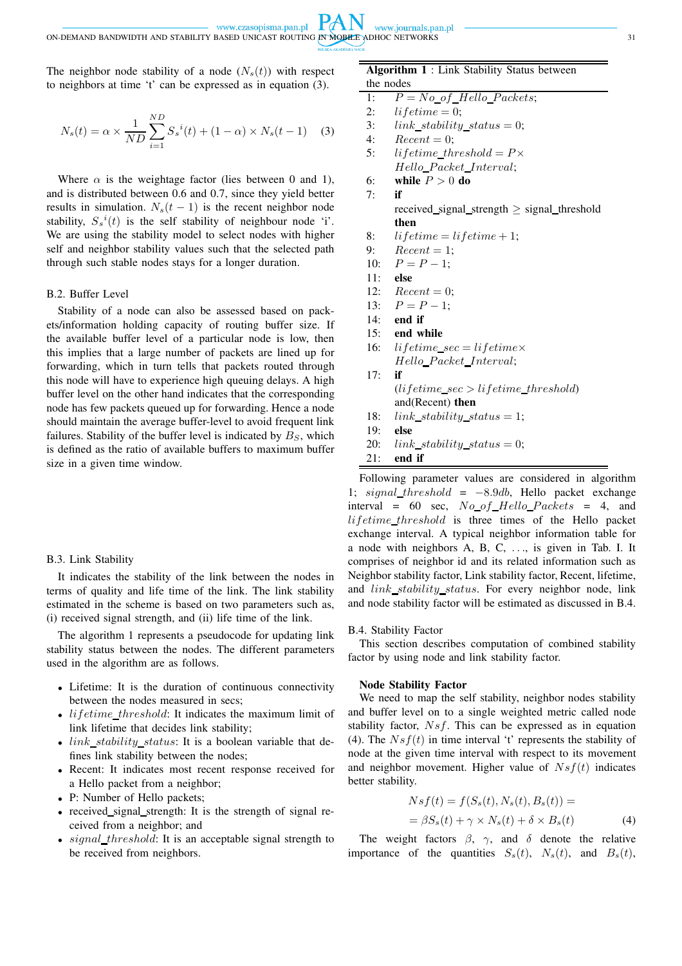The neighbor node stability of a node  $(N_s(t))$  with respect to neighbors at time 't' can be expressed as in equation (3).

$$
N_s(t) = \alpha \times \frac{1}{ND} \sum_{i=1}^{ND} S_s^i(t) + (1 - \alpha) \times N_s(t - 1)
$$
 (3)

Where  $\alpha$  is the weightage factor (lies between 0 and 1), and is distributed between 0.6 and 0.7, since they yield better results in simulation.  $N_s(t-1)$  is the recent neighbor node stability,  $S_s^i(t)$  is the self stability of neighbour node 'i'. We are using the stability model to select nodes with higher self and neighbor stability values such that the selected path through such stable nodes stays for a longer duration.

# B.2. Buffer Level

Stability of a node can also be assessed based on packets/information holding capacity of routing buffer size. If the available buffer level of a particular node is low, then this implies that a large number of packets are lined up for forwarding, which in turn tells that packets routed through this node will have to experience high queuing delays. A high buffer level on the other hand indicates that the corresponding node has few packets queued up for forwarding. Hence a node should maintain the average buffer-level to avoid frequent link failures. Stability of the buffer level is indicated by  $B<sub>S</sub>$ , which is defined as the ratio of available buffers to maximum buffer size in a given time window.

# B.3. Link Stability

It indicates the stability of the link between the nodes in terms of quality and life time of the link. The link stability estimated in the scheme is based on two parameters such as, (i) received signal strength, and (ii) life time of the link.

The algorithm 1 represents a pseudocode for updating link stability status between the nodes. The different parameters used in the algorithm are as follows.

- Lifetime: It is the duration of continuous connectivity between the nodes measured in secs;
- *lifetime\_threshold*: It indicates the maximum limit of link lifetime that decides link stability;
- $link\_stability\_status$ : It is a boolean variable that defines link stability between the nodes;
- Recent: It indicates most recent response received for a Hello packet from a neighbor;
- P: Number of Hello packets;
- received\_signal\_strength: It is the strength of signal received from a neighbor; and
- signal\_threshold: It is an acceptable signal strength to be received from neighbors.

# **Algorithm 1** : Link Stability Status between the nodes

- 1:  $P = No\_of\_Hello\_Packets;$
- 2:  $lifetime = 0;$

www.journals.pan.pl

**PAN** 

- 3:  $link\_stability\_status = 0;$
- 4:  $Recent = 0;$
- 5: lifetime\_threshold =  $P \times$ Hello\_Packet\_Interval;
- 6: **while**  $P > 0$  **do**
- 7: **if**

received signal strength  $\geq$  signal threshold **then**

- 8:  $lifetime = lifetime + 1;$
- 9:  $Recent = 1$ :
- 10:  $P = P 1;$
- 11: **else**
- 12:  $Recent = 0;$
- 13:  $P = P 1;$
- 14: **end if**
- 15: **end while**
- 16: lifetime\_sec = lifetime $\times$  $Hello\_Packet\_Interval;$
- 17: **if**  $(lifetime\_sec > lifetime\_threshold)$ and(Recent) **then**
- 18:  $link\_stability\_status = 1;$
- 19: **else**
- 20:  $link\_stability\_status = 0;$
- 21: **end if**

Following parameter values are considered in algorithm 1; signal\_threshold =  $-8.9db$ , Hello packet exchange interval = 60 sec,  $No_of_Hello_Packets = 4$ , and lifetime\_threshold is three times of the Hello packet exchange interval. A typical neighbor information table for a node with neighbors A, B, C, . . ., is given in Tab. I. It comprises of neighbor id and its related information such as Neighbor stability factor, Link stability factor, Recent, lifetime, and *link\_stability\_status*. For every neighbor node, link and node stability factor will be estimated as discussed in B.4.

#### B.4. Stability Factor

This section describes computation of combined stability factor by using node and link stability factor.

## **Node Stability Factor**

We need to map the self stability, neighbor nodes stability and buffer level on to a single weighted metric called node stability factor, Nsf. This can be expressed as in equation (4). The  $Nsf(t)$  in time interval 't' represents the stability of node at the given time interval with respect to its movement and neighbor movement. Higher value of  $Nsf(t)$  indicates better stability.

$$
Nsf(t) = f(Ss(t), Ns(t), Bs(t)) =
$$
  
=  $\beta Ss(t) + \gamma \times Ns(t) + \delta \times Bs(t)$  (4)

The weight factors  $\beta$ ,  $\gamma$ , and  $\delta$  denote the relative importance of the quantities  $S_s(t)$ ,  $N_s(t)$ , and  $B_s(t)$ ,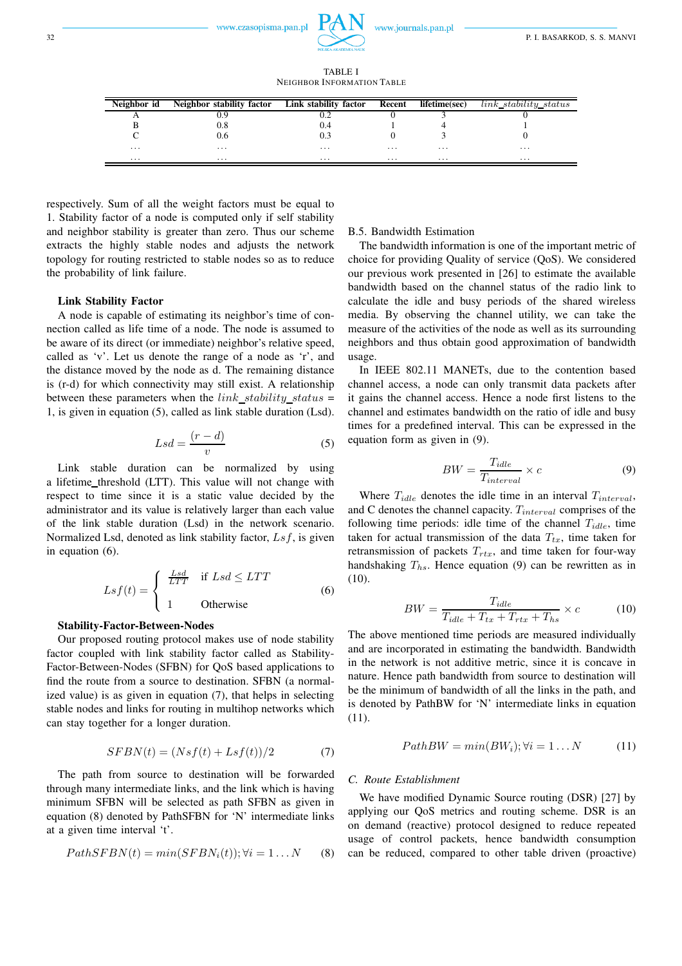



TABLE I NEIGHBOR INFORMATION TABLE

| Neighbor id | Neighbor stability factor | Link stability factor | Recent   | lifetime(sec) | $link\_stability\_status$ |
|-------------|---------------------------|-----------------------|----------|---------------|---------------------------|
|             | J.Y                       |                       |          |               |                           |
|             | 0.8                       | 0.4                   |          |               |                           |
|             | 0.6                       |                       |          |               |                           |
| $\cdots$    | .                         | $\cdots$              | $\cdots$ | $\cdots$      | .                         |
| $\cdots$    | .                         | .                     | .        | .             | .                         |

respectively. Sum of all the weight factors must be equal to 1. Stability factor of a node is computed only if self stability and neighbor stability is greater than zero. Thus our scheme extracts the highly stable nodes and adjusts the network topology for routing restricted to stable nodes so as to reduce the probability of link failure.

### **Link Stability Factor**

A node is capable of estimating its neighbor's time of connection called as life time of a node. The node is assumed to be aware of its direct (or immediate) neighbor's relative speed, called as 'v'. Let us denote the range of a node as 'r', and the distance moved by the node as d. The remaining distance is (r-d) for which connectivity may still exist. A relationship between these parameters when the *link stability status* = 1, is given in equation (5), called as link stable duration (Lsd).

$$
Lsd = \frac{(r-d)}{v} \tag{5}
$$

Link stable duration can be normalized by using a lifetime threshold (LTT). This value will not change with respect to time since it is a static value decided by the administrator and its value is relatively larger than each value of the link stable duration (Lsd) in the network scenario. Normalized Lsd, denoted as link stability factor,  $Lsf$ , is given in equation (6).

$$
Lsf(t) = \begin{cases} \frac{Lsd}{LTT} & \text{if } Lsd \le LTT\\ 1 & \text{Otherwise} \end{cases}
$$
 (6)

### **Stability-Factor-Between-Nodes**

Our proposed routing protocol makes use of node stability factor coupled with link stability factor called as Stability-Factor-Between-Nodes (SFBN) for QoS based applications to find the route from a source to destination. SFBN (a normalized value) is as given in equation (7), that helps in selecting stable nodes and links for routing in multihop networks which can stay together for a longer duration.

$$
SFBN(t) = (Nsf(t) + Lsf(t))/2 \tag{7}
$$

The path from source to destination will be forwarded through many intermediate links, and the link which is having minimum SFBN will be selected as path SFBN as given in equation (8) denoted by PathSFBN for 'N' intermediate links at a given time interval 't'.

$$
Path SFBN(t) = min(SFBNi(t)); \forall i = 1...N
$$
 (8)

## B.5. Bandwidth Estimation

The bandwidth information is one of the important metric of choice for providing Quality of service (QoS). We considered our previous work presented in [26] to estimate the available bandwidth based on the channel status of the radio link to calculate the idle and busy periods of the shared wireless media. By observing the channel utility, we can take the measure of the activities of the node as well as its surrounding neighbors and thus obtain good approximation of bandwidth usage.

In IEEE 802.11 MANETs, due to the contention based channel access, a node can only transmit data packets after it gains the channel access. Hence a node first listens to the channel and estimates bandwidth on the ratio of idle and busy times for a predefined interval. This can be expressed in the equation form as given in (9).

$$
BW = \frac{T_{idle}}{T_{interval}} \times c \tag{9}
$$

Where  $T_{idle}$  denotes the idle time in an interval  $T_{interval}$ , and C denotes the channel capacity.  $T_{interval}$  comprises of the following time periods: idle time of the channel  $T_{idle}$ , time taken for actual transmission of the data  $T_{tx}$ , time taken for retransmission of packets  $T_{rtx}$ , and time taken for four-way handshaking  $T_{hs}$ . Hence equation (9) can be rewritten as in (10).

$$
BW = \frac{T_{idle}}{T_{idle} + T_{tx} + T_{rtx} + T_{hs}} \times c \tag{10}
$$

The above mentioned time periods are measured individually and are incorporated in estimating the bandwidth. Bandwidth in the network is not additive metric, since it is concave in nature. Hence path bandwidth from source to destination will be the minimum of bandwidth of all the links in the path, and is denoted by PathBW for 'N' intermediate links in equation (11).

$$
PathBW = min(BW_i); \forall i = 1...N \tag{11}
$$

### *C. Route Establishment*

We have modified Dynamic Source routing (DSR) [27] by applying our QoS metrics and routing scheme. DSR is an on demand (reactive) protocol designed to reduce repeated usage of control packets, hence bandwidth consumption can be reduced, compared to other table driven (proactive)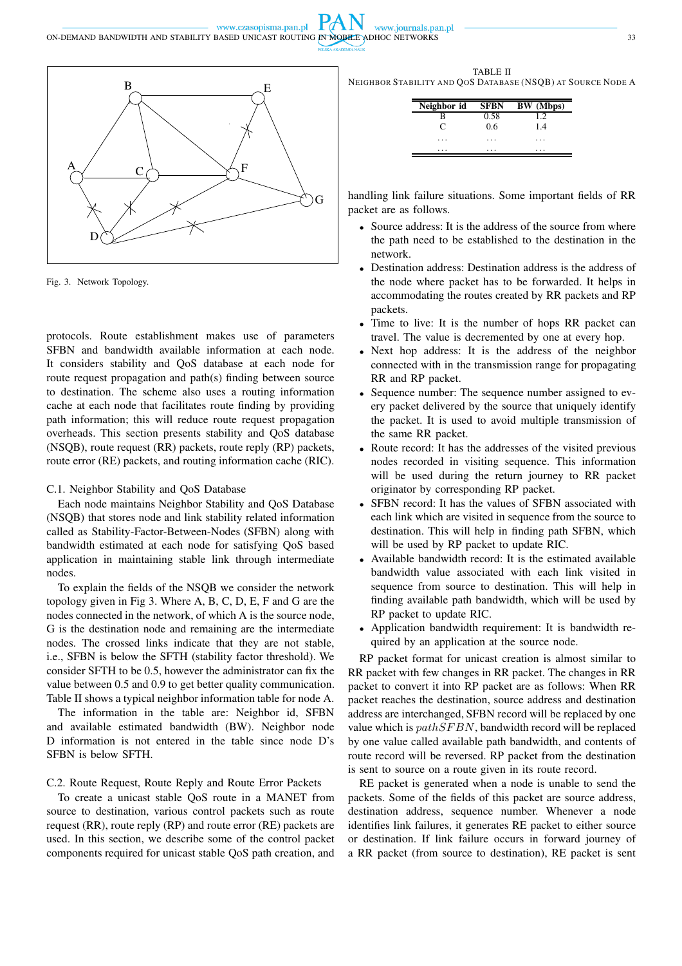

Fig. 3. Network Topology.

protocols. Route establishment makes use of parameters SFBN and bandwidth available information at each node. It considers stability and QoS database at each node for route request propagation and path(s) finding between source to destination. The scheme also uses a routing information cache at each node that facilitates route finding by providing path information; this will reduce route request propagation overheads. This section presents stability and QoS database (NSQB), route request (RR) packets, route reply (RP) packets, route error (RE) packets, and routing information cache (RIC).

## C.1. Neighbor Stability and QoS Database

Each node maintains Neighbor Stability and QoS Database (NSQB) that stores node and link stability related information called as Stability-Factor-Between-Nodes (SFBN) along with bandwidth estimated at each node for satisfying QoS based application in maintaining stable link through intermediate nodes.

To explain the fields of the NSQB we consider the network topology given in Fig 3. Where A, B, C, D, E, F and G are the nodes connected in the network, of which A is the source node, G is the destination node and remaining are the intermediate nodes. The crossed links indicate that they are not stable, i.e., SFBN is below the SFTH (stability factor threshold). We consider SFTH to be 0.5, however the administrator can fix the value between 0.5 and 0.9 to get better quality communication. Table II shows a typical neighbor information table for node A.

The information in the table are: Neighbor id, SFBN and available estimated bandwidth (BW). Neighbor node D information is not entered in the table since node D's SFBN is below SFTH.

# C.2. Route Request, Route Reply and Route Error Packets

To create a unicast stable QoS route in a MANET from source to destination, various control packets such as route request (RR), route reply (RP) and route error (RE) packets are used. In this section, we describe some of the control packet components required for unicast stable QoS path creation, and

TABLE II NEIGHBOR STABILITY AND QOS DATABASE (NSQB) AT SOURCE NODE A

www.journals.pan.pl

| Neighbor id  | <b>SFBN</b> | <b>BW</b> (Mbps) |
|--------------|-------------|------------------|
| в            | 0.58        | 1.2              |
| $\mathsf{C}$ | 0.6         | 14               |
|              |             |                  |
|              |             |                  |

handling link failure situations. Some important fields of RR packet are as follows.

- Source address: It is the address of the source from where the path need to be established to the destination in the network.
- Destination address: Destination address is the address of the node where packet has to be forwarded. It helps in accommodating the routes created by RR packets and RP packets.
- Time to live: It is the number of hops RR packet can travel. The value is decremented by one at every hop.
- Next hop address: It is the address of the neighbor connected with in the transmission range for propagating RR and RP packet.
- Sequence number: The sequence number assigned to every packet delivered by the source that uniquely identify the packet. It is used to avoid multiple transmission of the same RR packet.
- Route record: It has the addresses of the visited previous nodes recorded in visiting sequence. This information will be used during the return journey to RR packet originator by corresponding RP packet.
- SFBN record: It has the values of SFBN associated with each link which are visited in sequence from the source to destination. This will help in finding path SFBN, which will be used by RP packet to update RIC.
- Available bandwidth record: It is the estimated available bandwidth value associated with each link visited in sequence from source to destination. This will help in finding available path bandwidth, which will be used by RP packet to update RIC.
- Application bandwidth requirement: It is bandwidth required by an application at the source node.

RP packet format for unicast creation is almost similar to RR packet with few changes in RR packet. The changes in RR packet to convert it into RP packet are as follows: When RR packet reaches the destination, source address and destination address are interchanged, SFBN record will be replaced by one value which is  $pathSFBN$ , bandwidth record will be replaced by one value called available path bandwidth, and contents of route record will be reversed. RP packet from the destination is sent to source on a route given in its route record.

RE packet is generated when a node is unable to send the packets. Some of the fields of this packet are source address, destination address, sequence number. Whenever a node identifies link failures, it generates RE packet to either source or destination. If link failure occurs in forward journey of a RR packet (from source to destination), RE packet is sent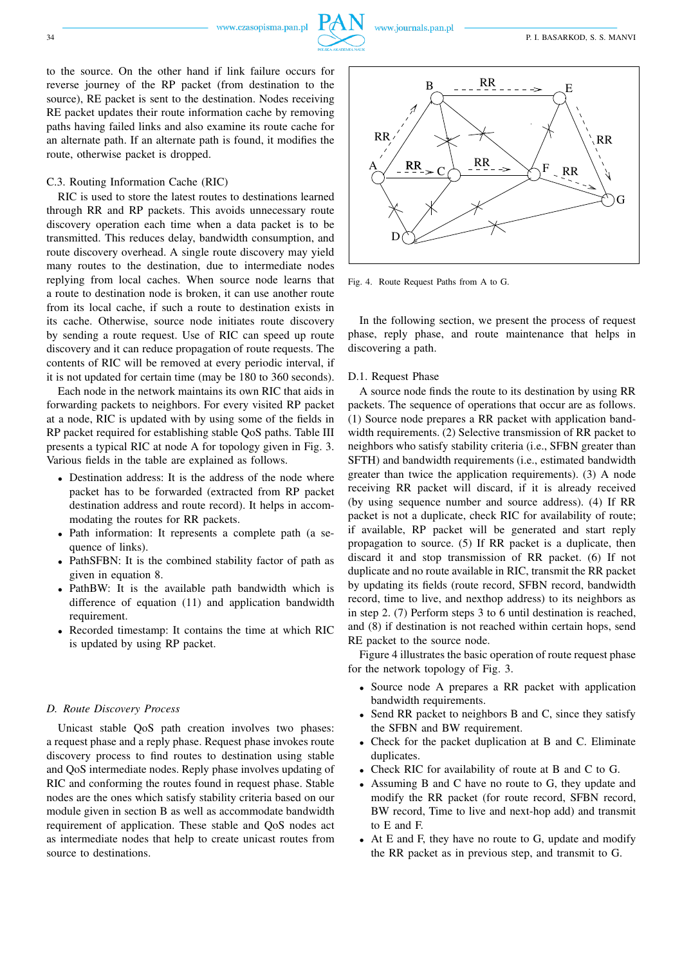www.czasopisma.pan.pl



to the source. On the other hand if link failure occurs for reverse journey of the RP packet (from destination to the source), RE packet is sent to the destination. Nodes receiving RE packet updates their route information cache by removing paths having failed links and also examine its route cache for an alternate path. If an alternate path is found, it modifies the route, otherwise packet is dropped.

# C.3. Routing Information Cache (RIC)

RIC is used to store the latest routes to destinations learned through RR and RP packets. This avoids unnecessary route discovery operation each time when a data packet is to be transmitted. This reduces delay, bandwidth consumption, and route discovery overhead. A single route discovery may yield many routes to the destination, due to intermediate nodes replying from local caches. When source node learns that a route to destination node is broken, it can use another route from its local cache, if such a route to destination exists in its cache. Otherwise, source node initiates route discovery by sending a route request. Use of RIC can speed up route discovery and it can reduce propagation of route requests. The contents of RIC will be removed at every periodic interval, if it is not updated for certain time (may be 180 to 360 seconds).

Each node in the network maintains its own RIC that aids in forwarding packets to neighbors. For every visited RP packet at a node, RIC is updated with by using some of the fields in RP packet required for establishing stable QoS paths. Table III presents a typical RIC at node A for topology given in Fig. 3. Various fields in the table are explained as follows.

- Destination address: It is the address of the node where packet has to be forwarded (extracted from RP packet destination address and route record). It helps in accommodating the routes for RR packets.
- Path information: It represents a complete path (a sequence of links).
- PathSFBN: It is the combined stability factor of path as given in equation 8.
- PathBW: It is the available path bandwidth which is difference of equation (11) and application bandwidth requirement.
- Recorded timestamp: It contains the time at which RIC is updated by using RP packet.

# *D. Route Discovery Process*

Unicast stable QoS path creation involves two phases: a request phase and a reply phase. Request phase invokes route discovery process to find routes to destination using stable and QoS intermediate nodes. Reply phase involves updating of RIC and conforming the routes found in request phase. Stable nodes are the ones which satisfy stability criteria based on our module given in section B as well as accommodate bandwidth requirement of application. These stable and QoS nodes act as intermediate nodes that help to create unicast routes from source to destinations.



Fig. 4. Route Request Paths from A to G.

In the following section, we present the process of request phase, reply phase, and route maintenance that helps in discovering a path.

#### D.1. Request Phase

A source node finds the route to its destination by using RR packets. The sequence of operations that occur are as follows. (1) Source node prepares a RR packet with application bandwidth requirements. (2) Selective transmission of RR packet to neighbors who satisfy stability criteria (i.e., SFBN greater than SFTH) and bandwidth requirements (i.e., estimated bandwidth greater than twice the application requirements). (3) A node receiving RR packet will discard, if it is already received (by using sequence number and source address). (4) If RR packet is not a duplicate, check RIC for availability of route; if available, RP packet will be generated and start reply propagation to source. (5) If RR packet is a duplicate, then discard it and stop transmission of RR packet. (6) If not duplicate and no route available in RIC, transmit the RR packet by updating its fields (route record, SFBN record, bandwidth record, time to live, and nexthop address) to its neighbors as in step 2. (7) Perform steps 3 to 6 until destination is reached, and (8) if destination is not reached within certain hops, send RE packet to the source node.

Figure 4 illustrates the basic operation of route request phase for the network topology of Fig. 3.

- Source node A prepares a RR packet with application bandwidth requirements.
- Send RR packet to neighbors B and C, since they satisfy the SFBN and BW requirement.
- Check for the packet duplication at B and C. Eliminate duplicates.
- Check RIC for availability of route at B and C to G.
- Assuming B and C have no route to G, they update and modify the RR packet (for route record, SFBN record, BW record, Time to live and next-hop add) and transmit to E and F.
- At E and F, they have no route to G, update and modify the RR packet as in previous step, and transmit to G.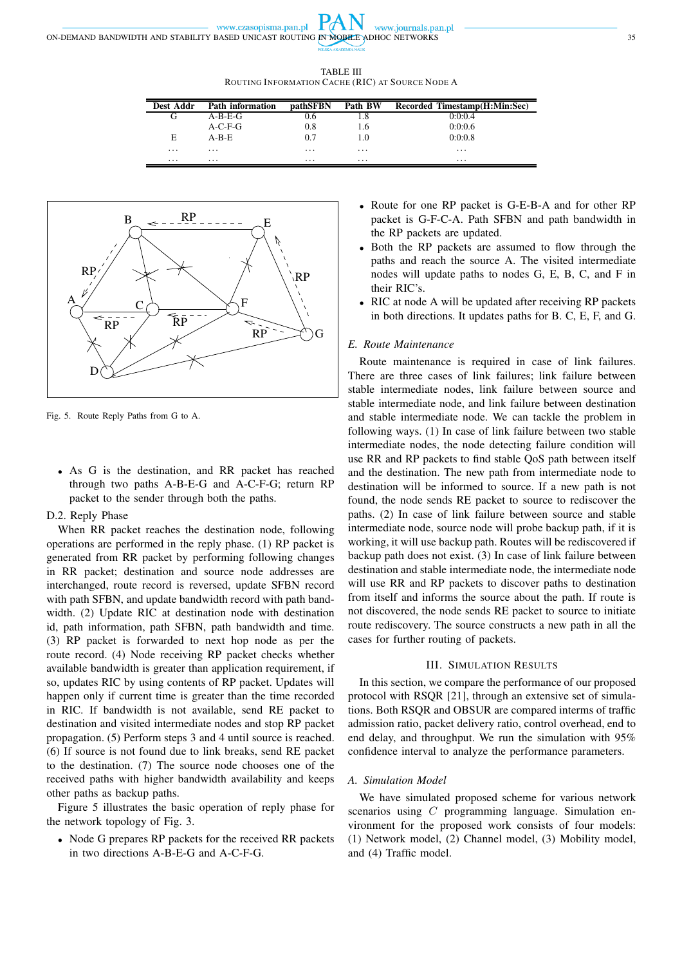www.czasopisma.pan.pl www.journals.pan.pl ON-DEMAND BANDWIDTH AND STABILITY BASED UNICAST ROUTING IN MOBILE ADHOC NETWORKS 35

TABLE III ROUTING INFORMATION CACHE (RIC) AT SOURCE NODE A

| Dest Addr | <b>Path information</b> | pathSFBN | Path BW  | Recorded Timestamp(H:Min:Sec) |
|-----------|-------------------------|----------|----------|-------------------------------|
| G         | A-B-E-G                 | 0.6      | 1.8      | 0:0:0.4                       |
|           | $A-C-F-G$               | 0.8      | 1.6      | 0:0:0.6                       |
| E         | $A-B-E$                 | 0.7      | 1.0      | 0:0:0.8                       |
| $\cdots$  | $\cdots$                | $\cdots$ | $\cdots$ | $\cdots$                      |
| $\cdots$  | $\cdots$                | $\cdots$ | $\cdots$ | $\cdots$                      |



Fig. 5. Route Reply Paths from G to A.

• As G is the destination, and RR packet has reached through two paths A-B-E-G and A-C-F-G; return RP packet to the sender through both the paths.

## D.2. Reply Phase

When RR packet reaches the destination node, following operations are performed in the reply phase. (1) RP packet is generated from RR packet by performing following changes in RR packet; destination and source node addresses are interchanged, route record is reversed, update SFBN record with path SFBN, and update bandwidth record with path bandwidth. (2) Update RIC at destination node with destination id, path information, path SFBN, path bandwidth and time. (3) RP packet is forwarded to next hop node as per the route record. (4) Node receiving RP packet checks whether available bandwidth is greater than application requirement, if so, updates RIC by using contents of RP packet. Updates will happen only if current time is greater than the time recorded in RIC. If bandwidth is not available, send RE packet to destination and visited intermediate nodes and stop RP packet propagation. (5) Perform steps 3 and 4 until source is reached. (6) If source is not found due to link breaks, send RE packet to the destination. (7) The source node chooses one of the received paths with higher bandwidth availability and keeps other paths as backup paths.

Figure 5 illustrates the basic operation of reply phase for the network topology of Fig. 3.

• Node G prepares RP packets for the received RR packets in two directions A-B-E-G and A-C-F-G.

- Route for one RP packet is G-E-B-A and for other RP packet is G-F-C-A. Path SFBN and path bandwidth in the RP packets are updated.
- Both the RP packets are assumed to flow through the paths and reach the source A. The visited intermediate nodes will update paths to nodes G, E, B, C, and F in their RIC's.
- RIC at node A will be updated after receiving RP packets in both directions. It updates paths for B. C, E, F, and G.

# *E. Route Maintenance*

Route maintenance is required in case of link failures. There are three cases of link failures; link failure between stable intermediate nodes, link failure between source and stable intermediate node, and link failure between destination and stable intermediate node. We can tackle the problem in following ways. (1) In case of link failure between two stable intermediate nodes, the node detecting failure condition will use RR and RP packets to find stable QoS path between itself and the destination. The new path from intermediate node to destination will be informed to source. If a new path is not found, the node sends RE packet to source to rediscover the paths. (2) In case of link failure between source and stable intermediate node, source node will probe backup path, if it is working, it will use backup path. Routes will be rediscovered if backup path does not exist. (3) In case of link failure between destination and stable intermediate node, the intermediate node will use RR and RP packets to discover paths to destination from itself and informs the source about the path. If route is not discovered, the node sends RE packet to source to initiate route rediscovery. The source constructs a new path in all the cases for further routing of packets.

#### III. SIMULATION RESULTS

In this section, we compare the performance of our proposed protocol with RSQR [21], through an extensive set of simulations. Both RSQR and OBSUR are compared interms of traffic admission ratio, packet delivery ratio, control overhead, end to end delay, and throughput. We run the simulation with 95% confidence interval to analyze the performance parameters.

# *A. Simulation Model*

We have simulated proposed scheme for various network scenarios using C programming language. Simulation environment for the proposed work consists of four models: (1) Network model, (2) Channel model, (3) Mobility model, and (4) Traffic model.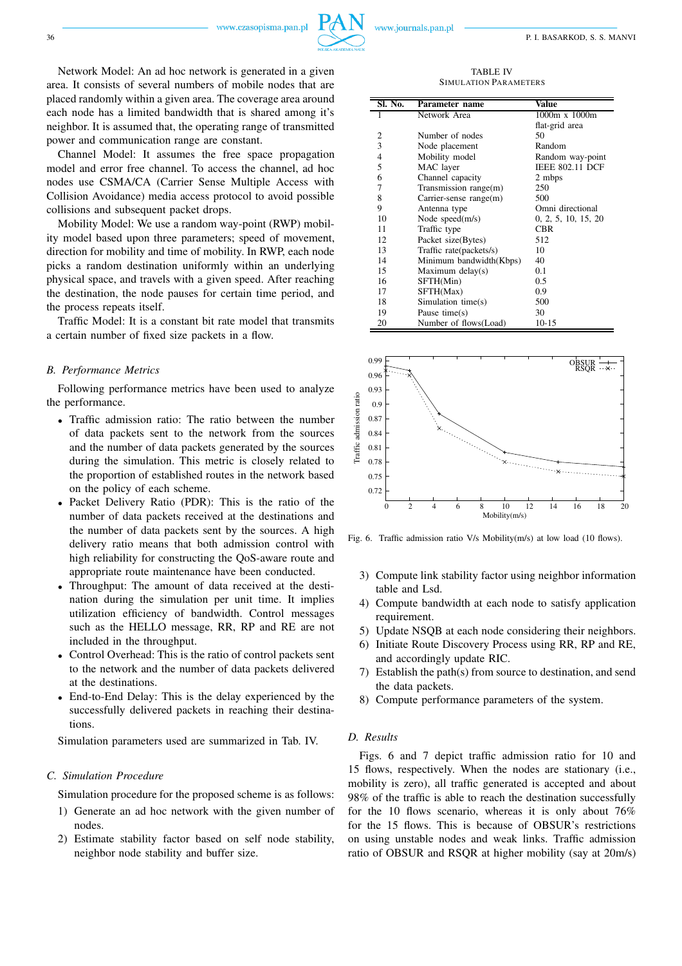www.czasopisma.pan.pl



www.journals.pan.pl

Network Model: An ad hoc network is generated in a given area. It consists of several numbers of mobile nodes that are placed randomly within a given area. The coverage area around each node has a limited bandwidth that is shared among it's neighbor. It is assumed that, the operating range of transmitted power and communication range are constant.

Channel Model: It assumes the free space propagation model and error free channel. To access the channel, ad hoc nodes use CSMA/CA (Carrier Sense Multiple Access with Collision Avoidance) media access protocol to avoid possible collisions and subsequent packet drops.

Mobility Model: We use a random way-point (RWP) mobility model based upon three parameters; speed of movement, direction for mobility and time of mobility. In RWP, each node picks a random destination uniformly within an underlying physical space, and travels with a given speed. After reaching the destination, the node pauses for certain time period, and the process repeats itself.

Traffic Model: It is a constant bit rate model that transmits a certain number of fixed size packets in a flow.

# *B. Performance Metrics*

Following performance metrics have been used to analyze the performance.

- Traffic admission ratio: The ratio between the number of data packets sent to the network from the sources and the number of data packets generated by the sources during the simulation. This metric is closely related to the proportion of established routes in the network based on the policy of each scheme.
- Packet Delivery Ratio (PDR): This is the ratio of the number of data packets received at the destinations and the number of data packets sent by the sources. A high delivery ratio means that both admission control with high reliability for constructing the QoS-aware route and appropriate route maintenance have been conducted.
- Throughput: The amount of data received at the destination during the simulation per unit time. It implies utilization efficiency of bandwidth. Control messages such as the HELLO message, RR, RP and RE are not included in the throughput.
- Control Overhead: This is the ratio of control packets sent to the network and the number of data packets delivered at the destinations.
- End-to-End Delay: This is the delay experienced by the successfully delivered packets in reaching their destinations.

Simulation parameters used are summarized in Tab. IV.

# *C. Simulation Procedure*

Simulation procedure for the proposed scheme is as follows:

- 1) Generate an ad hoc network with the given number of nodes.
- 2) Estimate stability factor based on self node stability, neighbor node stability and buffer size.

TABLE IV SIMULATION PARAMETERS

| Sl. No.                  | Parameter name            | Value                  |  |
|--------------------------|---------------------------|------------------------|--|
| 1                        | Network Area              | 1000m x 1000m          |  |
|                          |                           | flat-grid area         |  |
| 2                        | Number of nodes           | 50                     |  |
| 3                        | Node placement            | Random                 |  |
| $\overline{\mathcal{L}}$ | Mobility model            | Random way-point       |  |
| 5                        | MAC layer                 | <b>IEEE 802.11 DCF</b> |  |
| 6                        | Channel capacity          | 2 mbps                 |  |
| 7                        | Transmission range(m)     | 250                    |  |
| 8                        | Carrier-sense range $(m)$ | 500                    |  |
| 9                        | Antenna type              | Omni directional       |  |
| 10                       | Node speed $(m/s)$        | 0, 2, 5, 10, 15, 20    |  |
| 11                       | Traffic type              | CBR                    |  |
| 12                       | Packet size(Bytes)        | 512                    |  |
| 13                       | Traffic rate(packets/s)   | 10                     |  |
| 14                       | Minimum bandwidth(Kbps)   | 40                     |  |
| 15                       | Maximum delay(s)          | 0.1                    |  |
| 16                       | SFTH(Min)                 | 0.5                    |  |
| 17                       | SFTH(Max)                 | 0.9                    |  |
| 18                       | Simulation time(s)        | 500                    |  |
| 19                       | Pause time(s)             | 30                     |  |
| 20                       | Number of flows(Load)     | $10 - 15$              |  |



Fig. 6. Traffic admission ratio V/s Mobility(m/s) at low load (10 flows).

- 3) Compute link stability factor using neighbor information table and Lsd.
- 4) Compute bandwidth at each node to satisfy application requirement.
- 5) Update NSQB at each node considering their neighbors.
- 6) Initiate Route Discovery Process using RR, RP and RE, and accordingly update RIC.
- 7) Establish the path(s) from source to destination, and send the data packets.
- 8) Compute performance parameters of the system.

# *D. Results*

Figs. 6 and 7 depict traffic admission ratio for 10 and 15 flows, respectively. When the nodes are stationary (i.e., mobility is zero), all traffic generated is accepted and about 98% of the traffic is able to reach the destination successfully for the 10 flows scenario, whereas it is only about 76% for the 15 flows. This is because of OBSUR's restrictions on using unstable nodes and weak links. Traffic admission ratio of OBSUR and RSQR at higher mobility (say at 20m/s)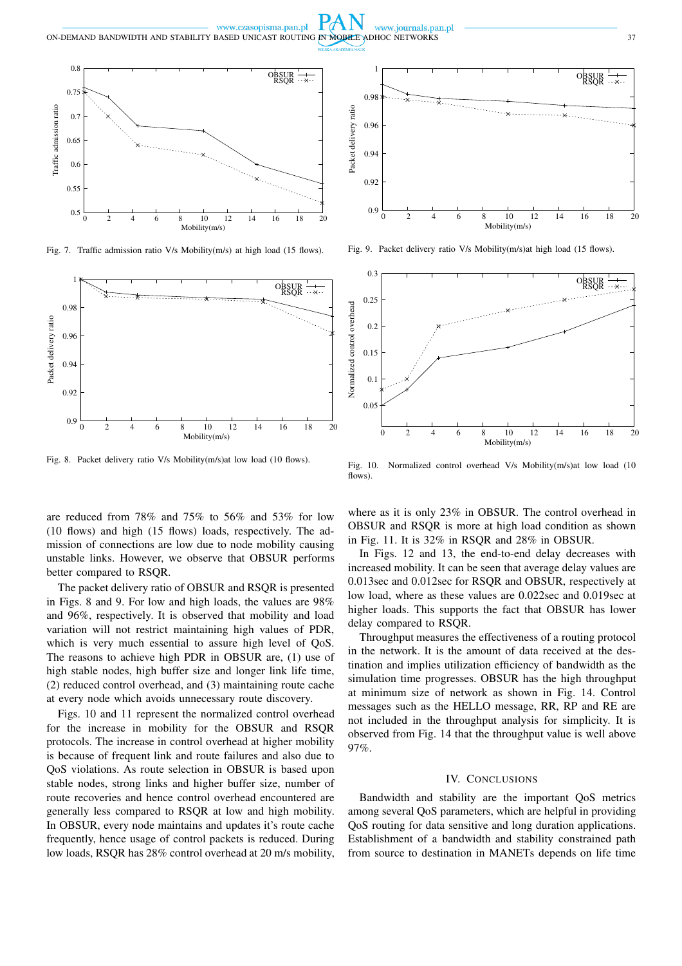

Fig. 7. Traffic admission ratio V/s Mobility(m/s) at high load (15 flows).



Fig. 8. Packet delivery ratio V/s Mobility(m/s)at low load (10 flows).



Fig. 9. Packet delivery ratio V/s Mobility(m/s)at high load (15 flows).



Fig. 10. Normalized control overhead V/s Mobility(m/s)at low load (10 flows).

are reduced from 78% and 75% to 56% and 53% for low (10 flows) and high (15 flows) loads, respectively. The admission of connections are low due to node mobility causing unstable links. However, we observe that OBSUR performs better compared to RSQR.

The packet delivery ratio of OBSUR and RSQR is presented in Figs. 8 and 9. For low and high loads, the values are 98% and 96%, respectively. It is observed that mobility and load variation will not restrict maintaining high values of PDR, which is very much essential to assure high level of QoS. The reasons to achieve high PDR in OBSUR are, (1) use of high stable nodes, high buffer size and longer link life time, (2) reduced control overhead, and (3) maintaining route cache at every node which avoids unnecessary route discovery.

Figs. 10 and 11 represent the normalized control overhead for the increase in mobility for the OBSUR and RSQR protocols. The increase in control overhead at higher mobility is because of frequent link and route failures and also due to QoS violations. As route selection in OBSUR is based upon stable nodes, strong links and higher buffer size, number of route recoveries and hence control overhead encountered are generally less compared to RSQR at low and high mobility. In OBSUR, every node maintains and updates it's route cache frequently, hence usage of control packets is reduced. During low loads, RSQR has 28% control overhead at 20 m/s mobility,

where as it is only 23% in OBSUR. The control overhead in OBSUR and RSQR is more at high load condition as shown in Fig. 11. It is 32% in RSQR and 28% in OBSUR.

In Figs. 12 and 13, the end-to-end delay decreases with increased mobility. It can be seen that average delay values are 0.013sec and 0.012sec for RSQR and OBSUR, respectively at low load, where as these values are 0.022sec and 0.019sec at higher loads. This supports the fact that OBSUR has lower delay compared to RSQR.

Throughput measures the effectiveness of a routing protocol in the network. It is the amount of data received at the destination and implies utilization efficiency of bandwidth as the simulation time progresses. OBSUR has the high throughput at minimum size of network as shown in Fig. 14. Control messages such as the HELLO message, RR, RP and RE are not included in the throughput analysis for simplicity. It is observed from Fig. 14 that the throughput value is well above 97%.

## IV. CONCLUSIONS

Bandwidth and stability are the important QoS metrics among several QoS parameters, which are helpful in providing QoS routing for data sensitive and long duration applications. Establishment of a bandwidth and stability constrained path from source to destination in MANETs depends on life time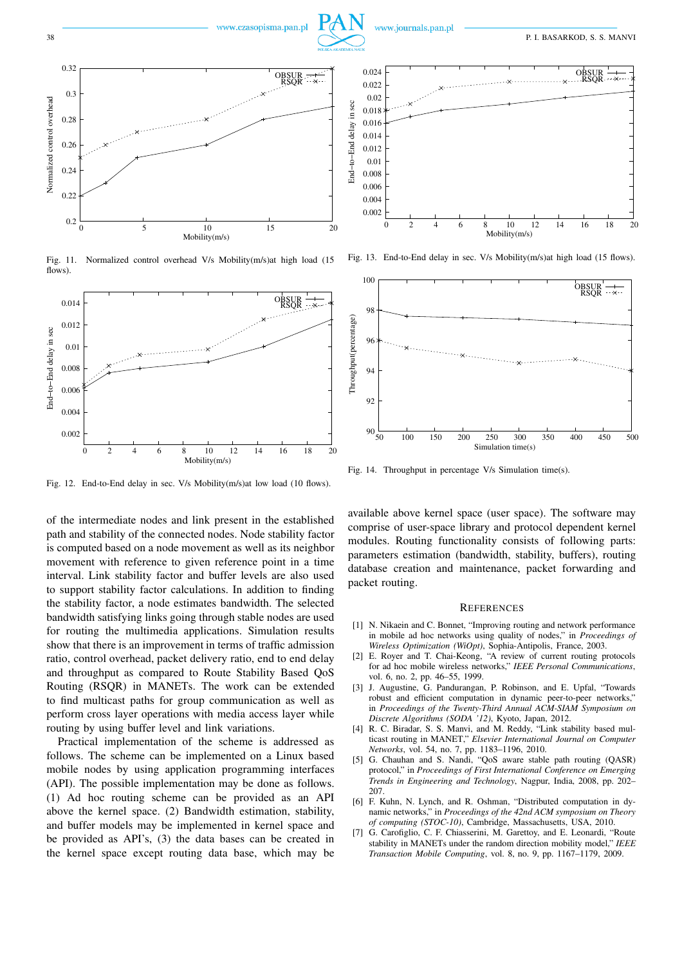





Fig. 11. Normalized control overhead V/s Mobility(m/s)at high load (15 flows).



Fig. 12. End-to-End delay in sec. V/s Mobility(m/s)at low load (10 flows).

of the intermediate nodes and link present in the established path and stability of the connected nodes. Node stability factor is computed based on a node movement as well as its neighbor movement with reference to given reference point in a time interval. Link stability factor and buffer levels are also used to support stability factor calculations. In addition to finding the stability factor, a node estimates bandwidth. The selected bandwidth satisfying links going through stable nodes are used for routing the multimedia applications. Simulation results show that there is an improvement in terms of traffic admission ratio, control overhead, packet delivery ratio, end to end delay and throughput as compared to Route Stability Based QoS Routing (RSQR) in MANETs. The work can be extended to find multicast paths for group communication as well as perform cross layer operations with media access layer while routing by using buffer level and link variations.

Practical implementation of the scheme is addressed as follows. The scheme can be implemented on a Linux based mobile nodes by using application programming interfaces (API). The possible implementation may be done as follows. (1) Ad hoc routing scheme can be provided as an API above the kernel space. (2) Bandwidth estimation, stability, and buffer models may be implemented in kernel space and be provided as API's, (3) the data bases can be created in the kernel space except routing data base, which may be



Fig. 13. End-to-End delay in sec. V/s Mobility(m/s)at high load (15 flows).



Fig. 14. Throughput in percentage V/s Simulation time(s).

available above kernel space (user space). The software may comprise of user-space library and protocol dependent kernel modules. Routing functionality consists of following parts: parameters estimation (bandwidth, stability, buffers), routing database creation and maintenance, packet forwarding and packet routing.

#### **REFERENCES**

- [1] N. Nikaein and C. Bonnet, "Improving routing and network performance in mobile ad hoc networks using quality of nodes," in *Proceedings of Wireless Optimization (WiOpt)*, Sophia-Antipolis, France, 2003.
- E. Royer and T. Chai-Keong, "A review of current routing protocols for ad hoc mobile wireless networks," *IEEE Personal Communications*, vol. 6, no. 2, pp. 46–55, 1999.
- [3] J. Augustine, G. Pandurangan, P. Robinson, and E. Upfal, "Towards robust and efficient computation in dynamic peer-to-peer networks," in *Proceedings of the Twenty-Third Annual ACM-SIAM Symposium on Discrete Algorithms (SODA '12)*, Kyoto, Japan, 2012.
- [4] R. C. Biradar, S. S. Manvi, and M. Reddy, "Link stability based multicast routing in MANET," *Elsevier International Journal on Computer Networks*, vol. 54, no. 7, pp. 1183–1196, 2010.
- [5] G. Chauhan and S. Nandi, "QoS aware stable path routing (QASR) protocol," in *Proceedings of First International Conference on Emerging Trends in Engineering and Technology*, Nagpur, India, 2008, pp. 202– 207.
- [6] F. Kuhn, N. Lynch, and R. Oshman, "Distributed computation in dynamic networks," in *Proceedings of the 42nd ACM symposium on Theory of computing (STOC-10)*, Cambridge, Massachusetts, USA, 2010.
- [7] G. Carofiglio, C. F. Chiasserini, M. Garettoy, and E. Leonardi, "Route stability in MANETs under the random direction mobility model," *IEEE Transaction Mobile Computing*, vol. 8, no. 9, pp. 1167–1179, 2009.